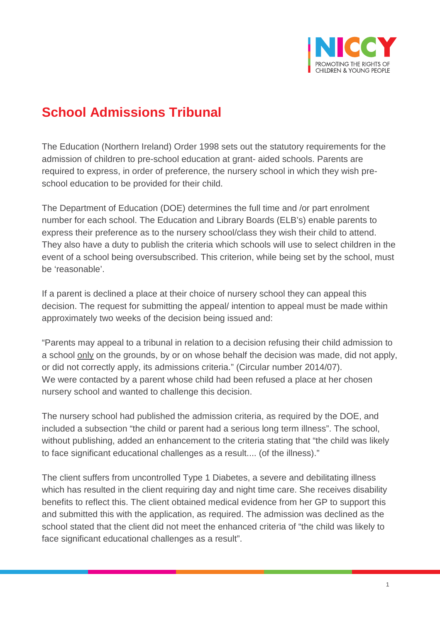

## **School Admissions Tribunal**

The Education (Northern Ireland) Order 1998 sets out the statutory requirements for the admission of children to pre-school education at grant- aided schools. Parents are required to express, in order of preference, the nursery school in which they wish preschool education to be provided for their child.

The Department of Education (DOE) determines the full time and /or part enrolment number for each school. The Education and Library Boards (ELB's) enable parents to express their preference as to the nursery school/class they wish their child to attend. They also have a duty to publish the criteria which schools will use to select children in the event of a school being oversubscribed. This criterion, while being set by the school, must be 'reasonable'.

If a parent is declined a place at their choice of nursery school they can appeal this decision. The request for submitting the appeal/ intention to appeal must be made within approximately two weeks of the decision being issued and:

"Parents may appeal to a tribunal in relation to a decision refusing their child admission to a school <u>only</u> on the grounds, by or on whose behalf the decision was made, did not apply, We were contacted by a parent whose child had been refused a place at her chosen nursery school and wanted to challenge this decision. or did not correctly apply, its admissions criteria." (Circular number 2014/07).

The nursery school had published the admission criteria, as required by the DOE, and included a subsection "the child or parent had a serious long term illness". The school, without publishing, added an enhancement to the criteria stating that "the child was likely to face significant educational challenges as a result.... (of the illness)."

The client suffers from uncontrolled Type 1 Diabetes, a severe and debilitating illness which has resulted in the client requiring day and night time care. She receives disability benefits to reflect this. The client obtained medical evidence from her GP to support this and submitted this with the application, as required. The admission was declined as the school stated that the client did not meet the enhanced criteria of "the child was likely to face significant educational challenges as a result".